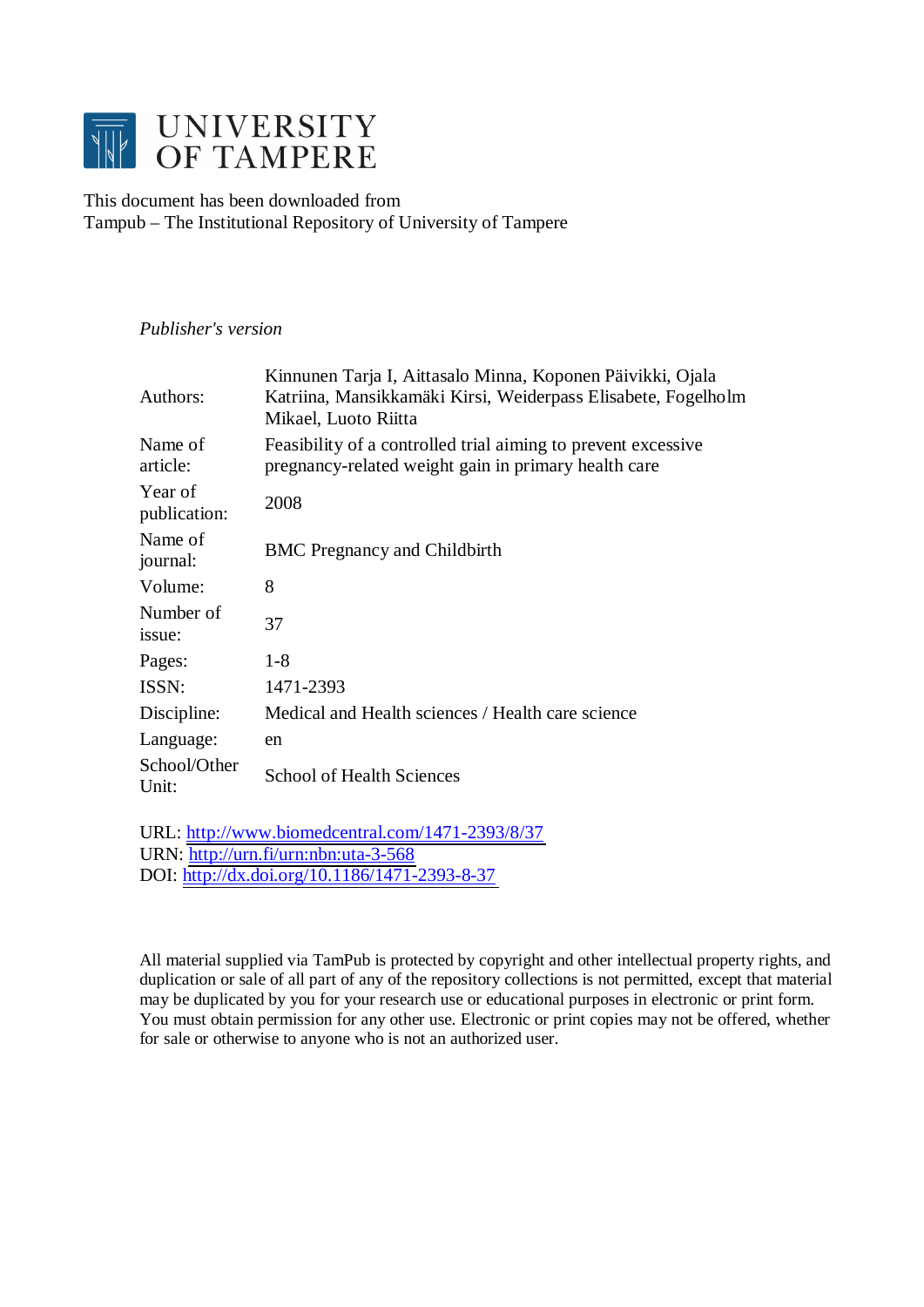

This document has been downloaded from Tampub – The Institutional Repository of University of Tampere

# *Publisher's version*

| Authors:                | Kinnunen Tarja I, Aittasalo Minna, Koponen Päivikki, Ojala<br>Katriina, Mansikkamäki Kirsi, Weiderpass Elisabete, Fogelholm<br>Mikael, Luoto Riitta |
|-------------------------|-----------------------------------------------------------------------------------------------------------------------------------------------------|
| Name of<br>article:     | Feasibility of a controlled trial aiming to prevent excessive<br>pregnancy-related weight gain in primary health care                               |
| Year of<br>publication: | 2008                                                                                                                                                |
| Name of<br>journal:     | <b>BMC Pregnancy and Childbirth</b>                                                                                                                 |
| Volume:                 | 8                                                                                                                                                   |
| Number of<br>issue:     | 37                                                                                                                                                  |
| Pages:                  | $1 - 8$                                                                                                                                             |
| ISSN:                   | 1471-2393                                                                                                                                           |
| Discipline:             | Medical and Health sciences / Health care science                                                                                                   |
| Language:               | en                                                                                                                                                  |
| School/Other<br>Unit:   | <b>School of Health Sciences</b>                                                                                                                    |
|                         |                                                                                                                                                     |

URL: <http://www.biomedcentral.com/1471-2393/8/37> URN:  $\frac{1}{\frac{http://urn.fi/urn:nbn:uta-3-568}{http://urn.fi/urn:nbn:uta-3-568}}$  $\frac{1}{\frac{http://urn.fi/urn:nbn:uta-3-568}{http://urn.fi/urn:nbn:uta-3-568}}$  $\frac{1}{\frac{http://urn.fi/urn:nbn:uta-3-568}{http://urn.fi/urn:nbn:uta-3-568}}$ DOI: <http://dx.doi.org/10.1186/1471-2393-8-37>

All material supplied via TamPub is protected by copyright and other intellectual property rights, and duplication or sale of all part of any of the repository collections is not permitted, except that material may be duplicated by you for your research use or educational purposes in electronic or print form. You must obtain permission for any other use. Electronic or print copies may not be offered, whether for sale or otherwise to anyone who is not an authorized user.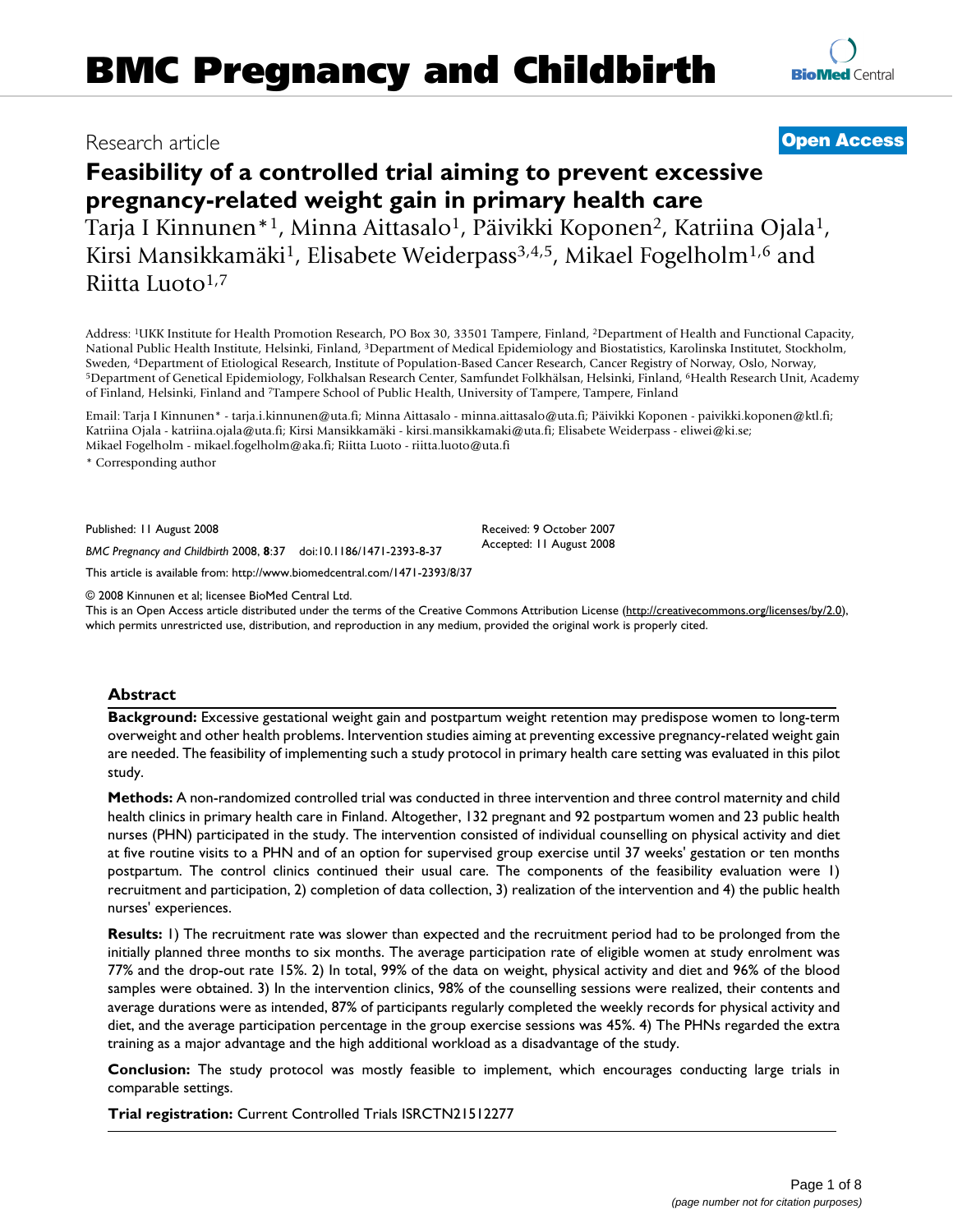# Research article **[Open Access](http://www.biomedcentral.com/info/about/charter/)**

**[BioMed](http://www.biomedcentral.com/)** Central

# **Feasibility of a controlled trial aiming to prevent excessive pregnancy-related weight gain in primary health care** Tarja I Kinnunen<sup>\*1</sup>, Minna Aittasalo<sup>1</sup>, Päivikki Koponen<sup>2</sup>, Katriina Ojala<sup>1</sup>,

Kirsi Mansikkamäki<sup>1</sup>, Elisabete Weiderpass<sup>3,4,5</sup>, Mikael Fogelholm<sup>1,6</sup> and Riitta Luoto $1,7$ 

Address: 1UKK Institute for Health Promotion Research, PO Box 30, 33501 Tampere, Finland, 2Department of Health and Functional Capacity, National Public Health Institute, Helsinki, Finland, 3Department of Medical Epidemiology and Biostatistics, Karolinska Institutet, Stockholm, Sweden, <sup>4</sup>Department of Etiological Research, Institute of Population-Based Cancer Research, Cancer Registry of Norway, Oslo, Norway,<br><sup>5</sup>Department of Genetical Epidemiology, Folkhalsan Research Center, Samfundet Folkhäls of Finland, Helsinki, Finland and 7Tampere School of Public Health, University of Tampere, Tampere, Finland

Email: Tarja I Kinnunen\* - tarja.i.kinnunen@uta.fi; Minna Aittasalo - minna.aittasalo@uta.fi; Päivikki Koponen - paivikki.koponen@ktl.fi; Katriina Ojala - katriina.ojala@uta.fi; Kirsi Mansikkamäki - kirsi.mansikkamaki@uta.fi; Elisabete Weiderpass - eliwei@ki.se; Mikael Fogelholm - mikael.fogelholm@aka.fi; Riitta Luoto - riitta.luoto@uta.fi

\* Corresponding author

Published: 11 August 2008

*BMC Pregnancy and Childbirth* 2008, **8**:37 doi:10.1186/1471-2393-8-37

[This article is available from: http://www.biomedcentral.com/1471-2393/8/37](http://www.biomedcentral.com/1471-2393/8/37)

© 2008 Kinnunen et al; licensee BioMed Central Ltd.

This is an Open Access article distributed under the terms of the Creative Commons Attribution License [\(http://creativecommons.org/licenses/by/2.0\)](http://creativecommons.org/licenses/by/2.0), which permits unrestricted use, distribution, and reproduction in any medium, provided the original work is properly cited.

Received: 9 October 2007 Accepted: 11 August 2008

# **Abstract**

**Background:** Excessive gestational weight gain and postpartum weight retention may predispose women to long-term overweight and other health problems. Intervention studies aiming at preventing excessive pregnancy-related weight gain are needed. The feasibility of implementing such a study protocol in primary health care setting was evaluated in this pilot study.

**Methods:** A non-randomized controlled trial was conducted in three intervention and three control maternity and child health clinics in primary health care in Finland. Altogether, 132 pregnant and 92 postpartum women and 23 public health nurses (PHN) participated in the study. The intervention consisted of individual counselling on physical activity and diet at five routine visits to a PHN and of an option for supervised group exercise until 37 weeks' gestation or ten months postpartum. The control clinics continued their usual care. The components of the feasibility evaluation were 1) recruitment and participation, 2) completion of data collection, 3) realization of the intervention and 4) the public health nurses' experiences.

**Results:** 1) The recruitment rate was slower than expected and the recruitment period had to be prolonged from the initially planned three months to six months. The average participation rate of eligible women at study enrolment was 77% and the drop-out rate 15%. 2) In total, 99% of the data on weight, physical activity and diet and 96% of the blood samples were obtained. 3) In the intervention clinics, 98% of the counselling sessions were realized, their contents and average durations were as intended, 87% of participants regularly completed the weekly records for physical activity and diet, and the average participation percentage in the group exercise sessions was 45%. 4) The PHNs regarded the extra training as a major advantage and the high additional workload as a disadvantage of the study.

**Conclusion:** The study protocol was mostly feasible to implement, which encourages conducting large trials in comparable settings.

**Trial registration:** Current Controlled Trials ISRCTN21512277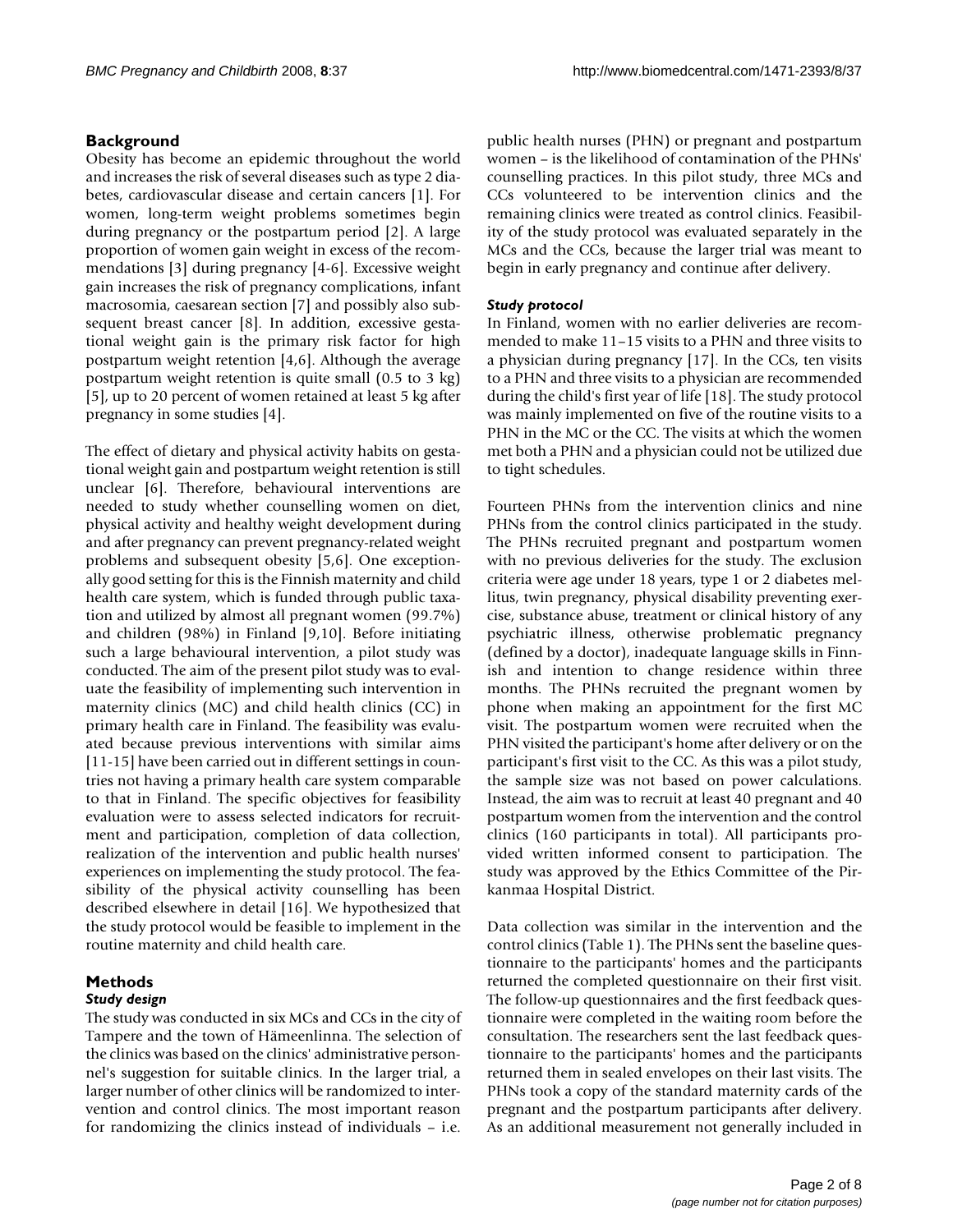# **Background**

Obesity has become an epidemic throughout the world and increases the risk of several diseases such as type 2 diabetes, cardiovascular disease and certain cancers [1]. For women, long-term weight problems sometimes begin during pregnancy or the postpartum period [2]. A large proportion of women gain weight in excess of the recommendations [3] during pregnancy [4-6]. Excessive weight gain increases the risk of pregnancy complications, infant macrosomia, caesarean section [7] and possibly also subsequent breast cancer [8]. In addition, excessive gestational weight gain is the primary risk factor for high postpartum weight retention [4,6]. Although the average postpartum weight retention is quite small (0.5 to 3 kg) [5], up to 20 percent of women retained at least 5 kg after pregnancy in some studies [4].

The effect of dietary and physical activity habits on gestational weight gain and postpartum weight retention is still unclear [6]. Therefore, behavioural interventions are needed to study whether counselling women on diet, physical activity and healthy weight development during and after pregnancy can prevent pregnancy-related weight problems and subsequent obesity [5,6]. One exceptionally good setting for this is the Finnish maternity and child health care system, which is funded through public taxation and utilized by almost all pregnant women (99.7%) and children (98%) in Finland [9,10]. Before initiating such a large behavioural intervention, a pilot study was conducted. The aim of the present pilot study was to evaluate the feasibility of implementing such intervention in maternity clinics (MC) and child health clinics (CC) in primary health care in Finland. The feasibility was evaluated because previous interventions with similar aims [11-15] have been carried out in different settings in countries not having a primary health care system comparable to that in Finland. The specific objectives for feasibility evaluation were to assess selected indicators for recruitment and participation, completion of data collection, realization of the intervention and public health nurses' experiences on implementing the study protocol. The feasibility of the physical activity counselling has been described elsewhere in detail [16]. We hypothesized that the study protocol would be feasible to implement in the routine maternity and child health care.

#### **Methods**

#### *Study design*

The study was conducted in six MCs and CCs in the city of Tampere and the town of Hämeenlinna. The selection of the clinics was based on the clinics' administrative personnel's suggestion for suitable clinics. In the larger trial, a larger number of other clinics will be randomized to intervention and control clinics. The most important reason for randomizing the clinics instead of individuals – i.e.

public health nurses (PHN) or pregnant and postpartum women – is the likelihood of contamination of the PHNs' counselling practices. In this pilot study, three MCs and CCs volunteered to be intervention clinics and the remaining clinics were treated as control clinics. Feasibility of the study protocol was evaluated separately in the MCs and the CCs, because the larger trial was meant to begin in early pregnancy and continue after delivery.

#### *Study protocol*

In Finland, women with no earlier deliveries are recommended to make 11–15 visits to a PHN and three visits to a physician during pregnancy [17]. In the CCs, ten visits to a PHN and three visits to a physician are recommended during the child's first year of life [18]. The study protocol was mainly implemented on five of the routine visits to a PHN in the MC or the CC. The visits at which the women met both a PHN and a physician could not be utilized due to tight schedules.

Fourteen PHNs from the intervention clinics and nine PHNs from the control clinics participated in the study. The PHNs recruited pregnant and postpartum women with no previous deliveries for the study. The exclusion criteria were age under 18 years, type 1 or 2 diabetes mellitus, twin pregnancy, physical disability preventing exercise, substance abuse, treatment or clinical history of any psychiatric illness, otherwise problematic pregnancy (defined by a doctor), inadequate language skills in Finnish and intention to change residence within three months. The PHNs recruited the pregnant women by phone when making an appointment for the first MC visit. The postpartum women were recruited when the PHN visited the participant's home after delivery or on the participant's first visit to the CC. As this was a pilot study, the sample size was not based on power calculations. Instead, the aim was to recruit at least 40 pregnant and 40 postpartum women from the intervention and the control clinics (160 participants in total). All participants provided written informed consent to participation. The study was approved by the Ethics Committee of the Pirkanmaa Hospital District.

Data collection was similar in the intervention and the control clinics (Table 1). The PHNs sent the baseline questionnaire to the participants' homes and the participants returned the completed questionnaire on their first visit. The follow-up questionnaires and the first feedback questionnaire were completed in the waiting room before the consultation. The researchers sent the last feedback questionnaire to the participants' homes and the participants returned them in sealed envelopes on their last visits. The PHNs took a copy of the standard maternity cards of the pregnant and the postpartum participants after delivery. As an additional measurement not generally included in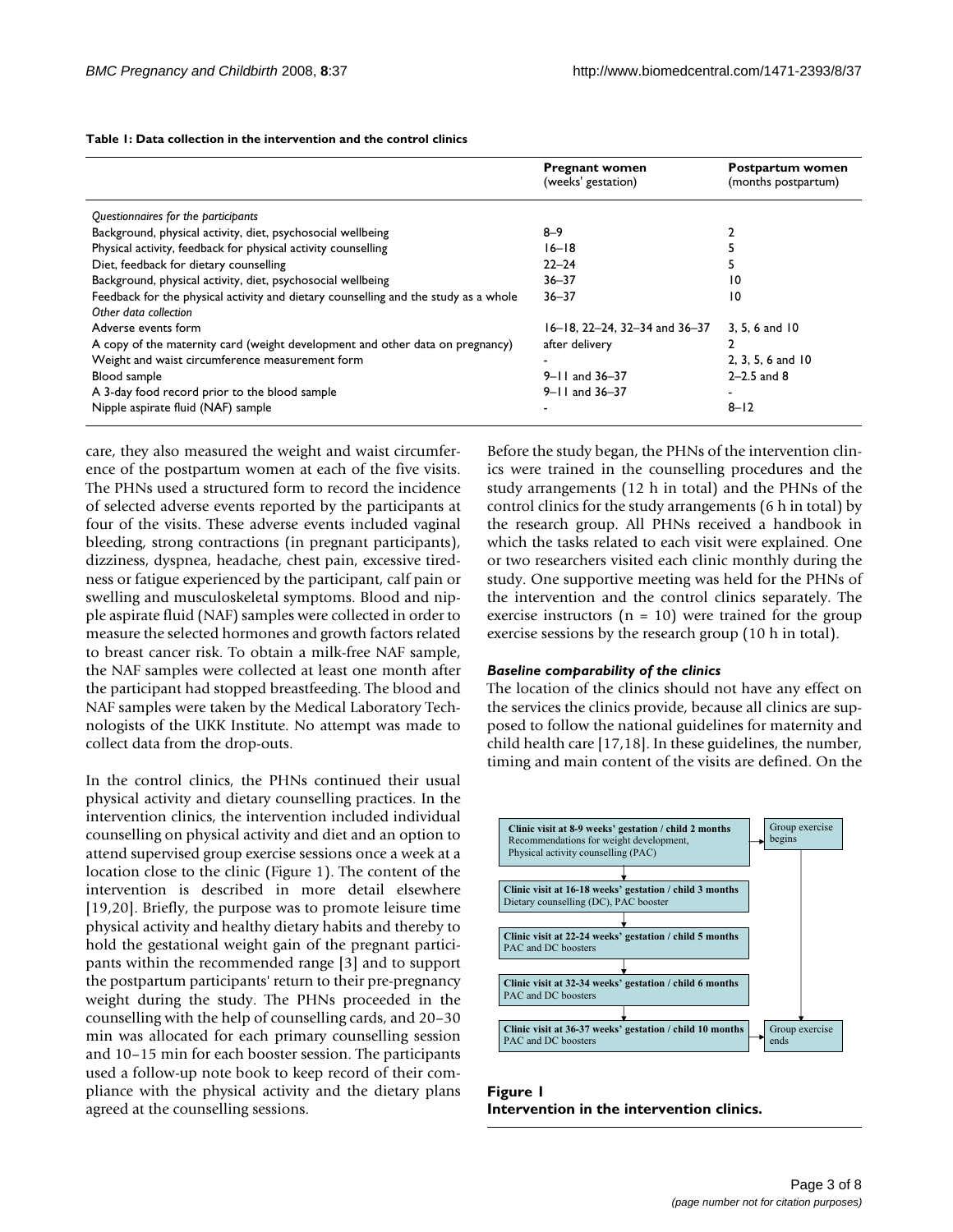**Table 1: Data collection in the intervention and the control clinics**

|                                                                                                              | <b>Pregnant women</b><br>(weeks' gestation) | Postpartum women<br>(months postpartum) |
|--------------------------------------------------------------------------------------------------------------|---------------------------------------------|-----------------------------------------|
| Questionnaires for the participants                                                                          |                                             |                                         |
| Background, physical activity, diet, psychosocial wellbeing                                                  | $8 - 9$                                     |                                         |
| Physical activity, feedback for physical activity counselling                                                | $16 - 18$                                   |                                         |
| Diet, feedback for dietary counselling                                                                       | $22 - 24$                                   |                                         |
| Background, physical activity, diet, psychosocial wellbeing                                                  | $36 - 37$                                   | 10                                      |
| Feedback for the physical activity and dietary counselling and the study as a whole<br>Other data collection | $36 - 37$                                   | 10                                      |
| Adverse events form                                                                                          | 16–18, 22–24, 32–34 and 36–37               | 3, 5, 6 and 10                          |
| A copy of the maternity card (weight development and other data on pregnancy)                                | after delivery                              |                                         |
| Weight and waist circumference measurement form                                                              |                                             | 2, 3, 5, 6 and 10                       |
| Blood sample                                                                                                 | $9 - 11$ and $36 - 37$                      | $2 - 2.5$ and 8                         |
| A 3-day food record prior to the blood sample                                                                | 9-11 and 36-37                              |                                         |
| Nipple aspirate fluid (NAF) sample                                                                           |                                             | $8 - 12$                                |

care, they also measured the weight and waist circumference of the postpartum women at each of the five visits. The PHNs used a structured form to record the incidence of selected adverse events reported by the participants at four of the visits. These adverse events included vaginal bleeding, strong contractions (in pregnant participants), dizziness, dyspnea, headache, chest pain, excessive tiredness or fatigue experienced by the participant, calf pain or swelling and musculoskeletal symptoms. Blood and nipple aspirate fluid (NAF) samples were collected in order to measure the selected hormones and growth factors related to breast cancer risk. To obtain a milk-free NAF sample, the NAF samples were collected at least one month after the participant had stopped breastfeeding. The blood and NAF samples were taken by the Medical Laboratory Technologists of the UKK Institute. No attempt was made to collect data from the drop-outs.

In the control clinics, the PHNs continued their usual physical activity and dietary counselling practices. In the intervention clinics, the intervention included individual counselling on physical activity and diet and an option to attend supervised group exercise sessions once a week at a location close to the clinic (Figure 1). The content of the intervention is described in more detail elsewhere [19,20]. Briefly, the purpose was to promote leisure time physical activity and healthy dietary habits and thereby to hold the gestational weight gain of the pregnant participants within the recommended range [3] and to support the postpartum participants' return to their pre-pregnancy weight during the study. The PHNs proceeded in the counselling with the help of counselling cards, and 20–30 min was allocated for each primary counselling session and 10–15 min for each booster session. The participants used a follow-up note book to keep record of their compliance with the physical activity and the dietary plans agreed at the counselling sessions.

Before the study began, the PHNs of the intervention clinics were trained in the counselling procedures and the study arrangements (12 h in total) and the PHNs of the control clinics for the study arrangements (6 h in total) by the research group. All PHNs received a handbook in which the tasks related to each visit were explained. One or two researchers visited each clinic monthly during the study. One supportive meeting was held for the PHNs of the intervention and the control clinics separately. The exercise instructors  $(n = 10)$  were trained for the group exercise sessions by the research group (10 h in total).

#### *Baseline comparability of the clinics*

The location of the clinics should not have any effect on the services the clinics provide, because all clinics are supposed to follow the national guidelines for maternity and child health care [17,18]. In these guidelines, the number, timing and main content of the visits are defined. On the



# **Figure 1 Intervention in the intervention clinics.**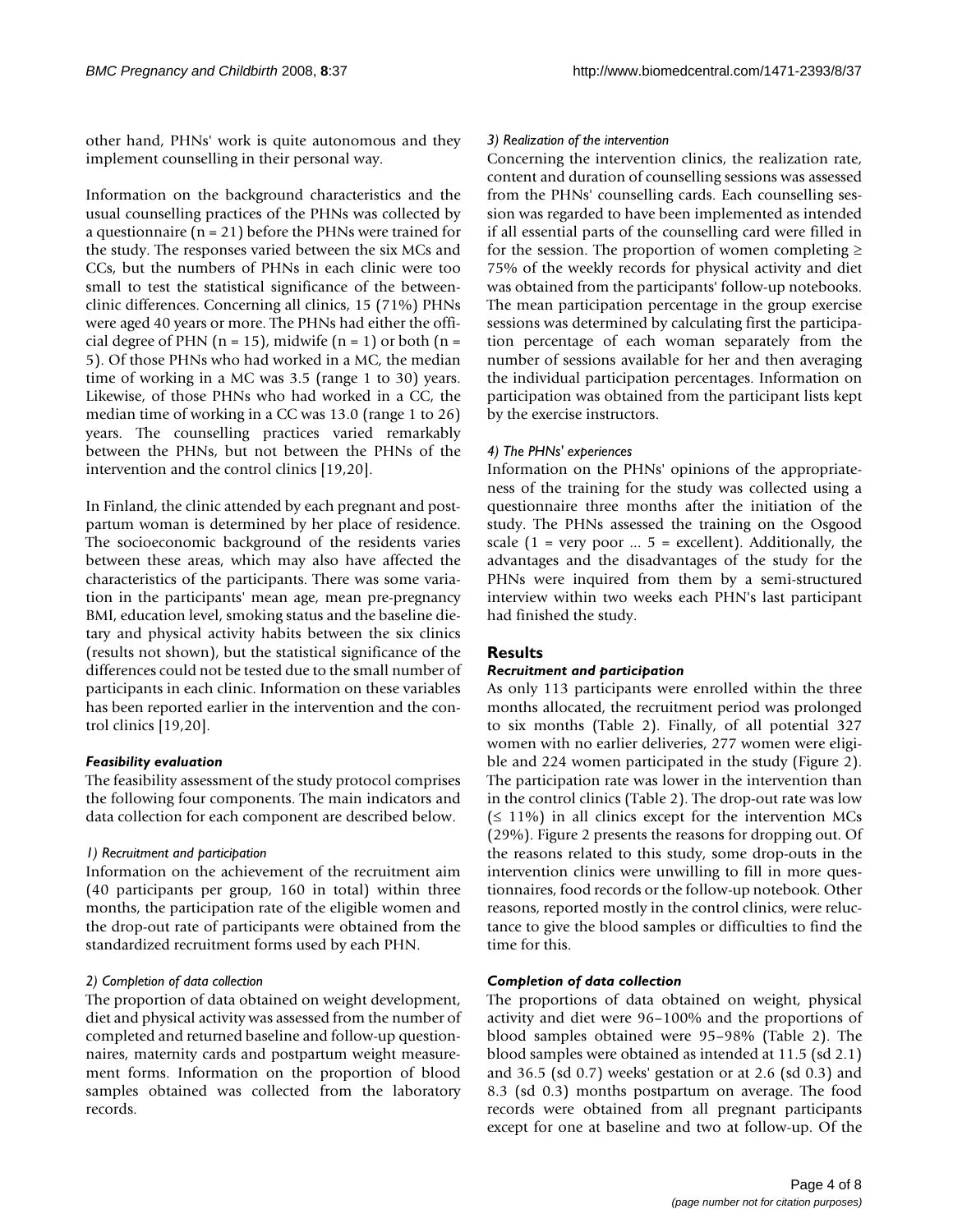other hand, PHNs' work is quite autonomous and they implement counselling in their personal way.

Information on the background characteristics and the usual counselling practices of the PHNs was collected by a questionnaire (n = 21) before the PHNs were trained for the study. The responses varied between the six MCs and CCs, but the numbers of PHNs in each clinic were too small to test the statistical significance of the betweenclinic differences. Concerning all clinics, 15 (71%) PHNs were aged 40 years or more. The PHNs had either the official degree of PHN (n = 15), midwife (n = 1) or both (n = 5). Of those PHNs who had worked in a MC, the median time of working in a MC was 3.5 (range 1 to 30) years. Likewise, of those PHNs who had worked in a CC, the median time of working in a CC was 13.0 (range 1 to 26) years. The counselling practices varied remarkably between the PHNs, but not between the PHNs of the intervention and the control clinics [19,20].

In Finland, the clinic attended by each pregnant and postpartum woman is determined by her place of residence. The socioeconomic background of the residents varies between these areas, which may also have affected the characteristics of the participants. There was some variation in the participants' mean age, mean pre-pregnancy BMI, education level, smoking status and the baseline dietary and physical activity habits between the six clinics (results not shown), but the statistical significance of the differences could not be tested due to the small number of participants in each clinic. Information on these variables has been reported earlier in the intervention and the control clinics [19,20].

# *Feasibility evaluation*

The feasibility assessment of the study protocol comprises the following four components. The main indicators and data collection for each component are described below.

# *1) Recruitment and participation*

Information on the achievement of the recruitment aim (40 participants per group, 160 in total) within three months, the participation rate of the eligible women and the drop-out rate of participants were obtained from the standardized recruitment forms used by each PHN.

# *2) Completion of data collection*

The proportion of data obtained on weight development, diet and physical activity was assessed from the number of completed and returned baseline and follow-up questionnaires, maternity cards and postpartum weight measurement forms. Information on the proportion of blood samples obtained was collected from the laboratory records.

# *3) Realization of the intervention*

Concerning the intervention clinics, the realization rate, content and duration of counselling sessions was assessed from the PHNs' counselling cards. Each counselling session was regarded to have been implemented as intended if all essential parts of the counselling card were filled in for the session. The proportion of women completing  $\geq$ 75% of the weekly records for physical activity and diet was obtained from the participants' follow-up notebooks. The mean participation percentage in the group exercise sessions was determined by calculating first the participation percentage of each woman separately from the number of sessions available for her and then averaging the individual participation percentages. Information on participation was obtained from the participant lists kept by the exercise instructors.

# *4) The PHNs' experiences*

Information on the PHNs' opinions of the appropriateness of the training for the study was collected using a questionnaire three months after the initiation of the study. The PHNs assessed the training on the Osgood scale  $(1 = \text{very poor} \dots 5 = \text{excellent})$ . Additionally, the advantages and the disadvantages of the study for the PHNs were inquired from them by a semi-structured interview within two weeks each PHN's last participant had finished the study.

# **Results**

# *Recruitment and participation*

As only 113 participants were enrolled within the three months allocated, the recruitment period was prolonged to six months (Table 2). Finally, of all potential 327 women with no earlier deliveries, 277 women were eligible and 224 women participated in the study (Figure 2). The participation rate was lower in the intervention than in the control clinics (Table 2). The drop-out rate was low  $($  ≤ 11%) in all clinics except for the intervention MCs (29%). Figure 2 presents the reasons for dropping out. Of the reasons related to this study, some drop-outs in the intervention clinics were unwilling to fill in more questionnaires, food records or the follow-up notebook. Other reasons, reported mostly in the control clinics, were reluctance to give the blood samples or difficulties to find the time for this.

# *Completion of data collection*

The proportions of data obtained on weight, physical activity and diet were 96–100% and the proportions of blood samples obtained were 95–98% (Table 2). The blood samples were obtained as intended at 11.5 (sd 2.1) and 36.5 (sd 0.7) weeks' gestation or at 2.6 (sd 0.3) and 8.3 (sd 0.3) months postpartum on average. The food records were obtained from all pregnant participants except for one at baseline and two at follow-up. Of the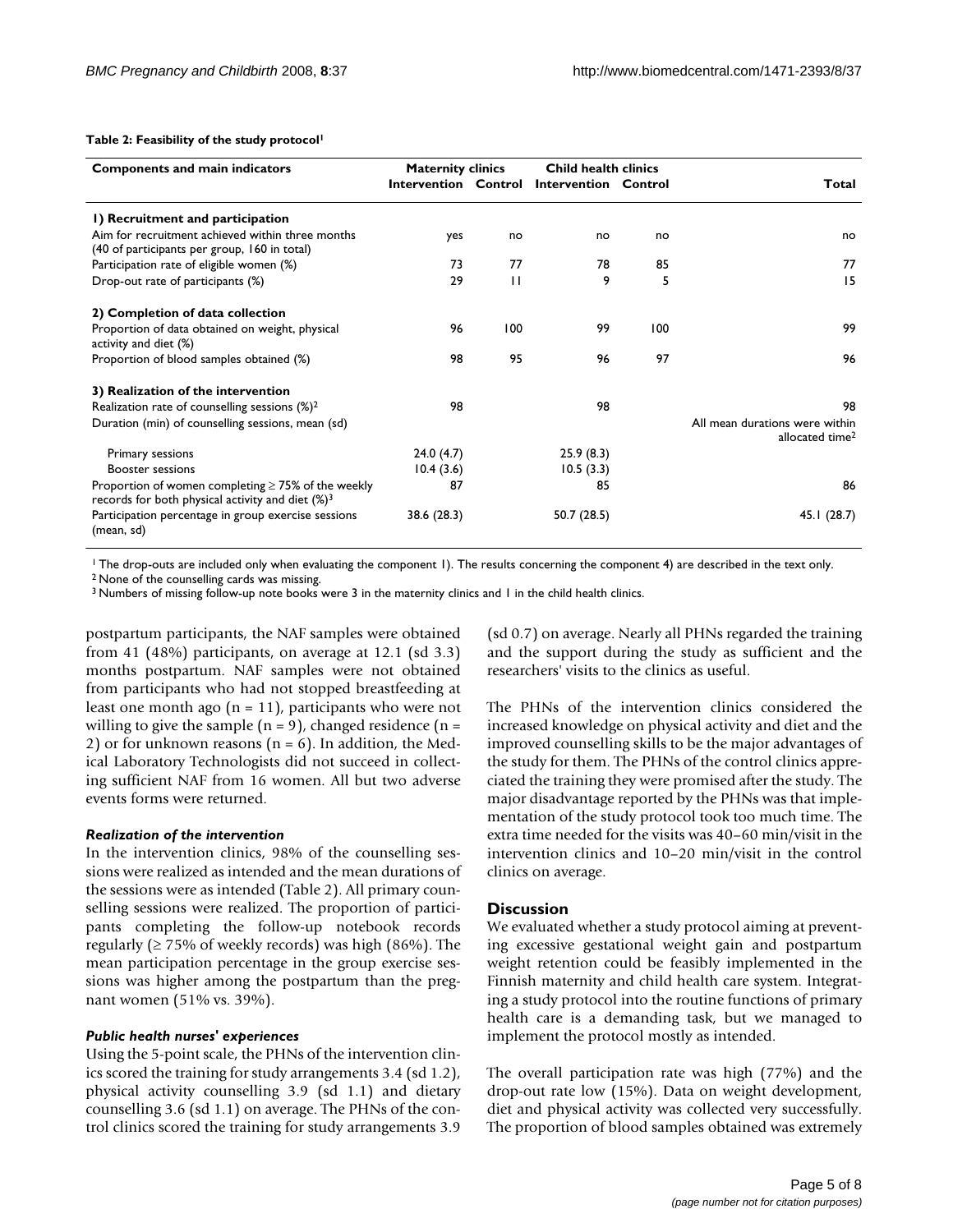#### **Table 2: Feasibility of the study protocol1**

| <b>Components and main indicators</b>                                                                           | <b>Maternity clinics</b>    |              | <b>Child health clinics</b> |     |                                                               |
|-----------------------------------------------------------------------------------------------------------------|-----------------------------|--------------|-----------------------------|-----|---------------------------------------------------------------|
|                                                                                                                 | <b>Intervention Control</b> |              | <b>Intervention Control</b> |     | Total                                                         |
| I) Recruitment and participation                                                                                |                             |              |                             |     |                                                               |
| Aim for recruitment achieved within three months<br>(40 of participants per group, 160 in total)                | yes                         | no           | no                          | no  | no                                                            |
| Participation rate of eligible women (%)                                                                        | 73                          | 77           | 78                          | 85  | 77                                                            |
| Drop-out rate of participants (%)                                                                               | 29                          | $\mathbf{H}$ | 9                           | 5   | 15                                                            |
| 2) Completion of data collection                                                                                |                             |              |                             |     |                                                               |
| Proportion of data obtained on weight, physical<br>activity and diet (%)                                        | 96                          | 100          | 99                          | 100 | 99                                                            |
| Proportion of blood samples obtained (%)                                                                        | 98                          | 95           | 96                          | 97  | 96                                                            |
| 3) Realization of the intervention                                                                              |                             |              |                             |     |                                                               |
| Realization rate of counselling sessions $(\%)^2$                                                               | 98                          |              | 98                          |     | 98                                                            |
| Duration (min) of counselling sessions, mean (sd)                                                               |                             |              |                             |     | All mean durations were within<br>allocated time <sup>2</sup> |
| Primary sessions                                                                                                | 24.0(4.7)                   |              | 25.9(8.3)                   |     |                                                               |
| <b>Booster sessions</b>                                                                                         | 10.4(3.6)                   |              | 10.5(3.3)                   |     |                                                               |
| Proportion of women completing $\geq$ 75% of the weekly<br>records for both physical activity and diet $(\%)^3$ | 87                          |              | 85                          |     | 86                                                            |
| Participation percentage in group exercise sessions<br>(mean, sd)                                               | 38.6 (28.3)                 |              | 50.7 (28.5)                 |     | 45.1 (28.7)                                                   |

1 The drop-outs are included only when evaluating the component 1). The results concerning the component 4) are described in the text only.

<sup>2</sup> None of the counselling cards was missing.

3 Numbers of missing follow-up note books were 3 in the maternity clinics and 1 in the child health clinics.

postpartum participants, the NAF samples were obtained from 41 (48%) participants, on average at 12.1 (sd 3.3) months postpartum. NAF samples were not obtained from participants who had not stopped breastfeeding at least one month ago  $(n = 11)$ , participants who were not willing to give the sample  $(n = 9)$ , changed residence  $(n = 1)$ 2) or for unknown reasons ( $n = 6$ ). In addition, the Medical Laboratory Technologists did not succeed in collecting sufficient NAF from 16 women. All but two adverse events forms were returned.

#### *Realization of the intervention*

In the intervention clinics, 98% of the counselling sessions were realized as intended and the mean durations of the sessions were as intended (Table 2). All primary counselling sessions were realized. The proportion of participants completing the follow-up notebook records regularly ( $\geq 75\%$  of weekly records) was high (86%). The mean participation percentage in the group exercise sessions was higher among the postpartum than the pregnant women (51% vs. 39%).

# *Public health nurses' experiences*

Using the 5-point scale, the PHNs of the intervention clinics scored the training for study arrangements 3.4 (sd 1.2), physical activity counselling 3.9 (sd 1.1) and dietary counselling 3.6 (sd 1.1) on average. The PHNs of the control clinics scored the training for study arrangements 3.9

(sd 0.7) on average. Nearly all PHNs regarded the training and the support during the study as sufficient and the researchers' visits to the clinics as useful.

The PHNs of the intervention clinics considered the increased knowledge on physical activity and diet and the improved counselling skills to be the major advantages of the study for them. The PHNs of the control clinics appreciated the training they were promised after the study. The major disadvantage reported by the PHNs was that implementation of the study protocol took too much time. The extra time needed for the visits was 40–60 min/visit in the intervention clinics and 10–20 min/visit in the control clinics on average.

# **Discussion**

We evaluated whether a study protocol aiming at preventing excessive gestational weight gain and postpartum weight retention could be feasibly implemented in the Finnish maternity and child health care system. Integrating a study protocol into the routine functions of primary health care is a demanding task, but we managed to implement the protocol mostly as intended.

The overall participation rate was high (77%) and the drop-out rate low (15%). Data on weight development, diet and physical activity was collected very successfully. The proportion of blood samples obtained was extremely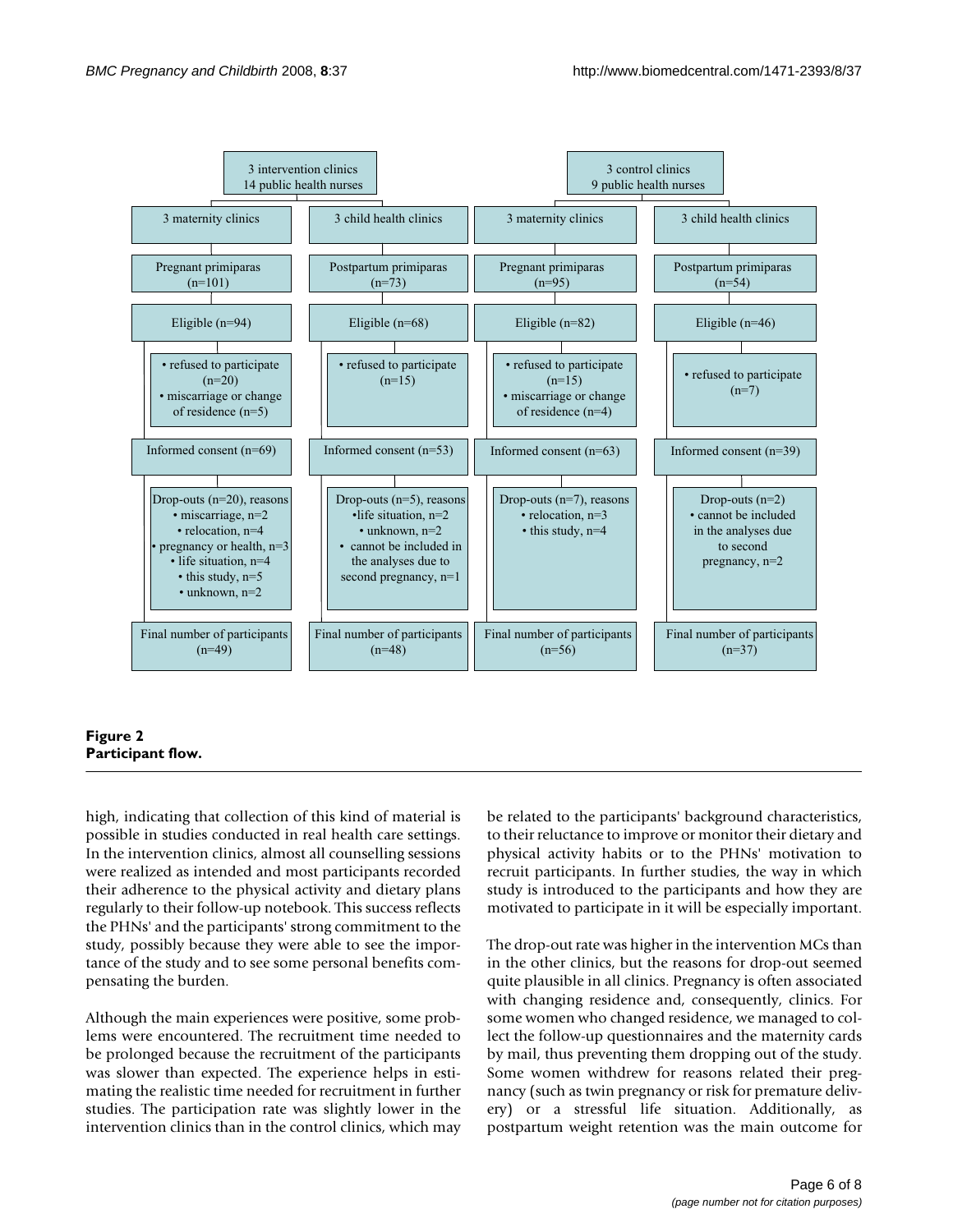

# **Figure 2 Participant flow.**

high, indicating that collection of this kind of material is possible in studies conducted in real health care settings. In the intervention clinics, almost all counselling sessions were realized as intended and most participants recorded their adherence to the physical activity and dietary plans regularly to their follow-up notebook. This success reflects the PHNs' and the participants' strong commitment to the study, possibly because they were able to see the importance of the study and to see some personal benefits compensating the burden.

Although the main experiences were positive, some problems were encountered. The recruitment time needed to be prolonged because the recruitment of the participants was slower than expected. The experience helps in estimating the realistic time needed for recruitment in further studies. The participation rate was slightly lower in the intervention clinics than in the control clinics, which may be related to the participants' background characteristics, to their reluctance to improve or monitor their dietary and physical activity habits or to the PHNs' motivation to recruit participants. In further studies, the way in which study is introduced to the participants and how they are motivated to participate in it will be especially important.

The drop-out rate was higher in the intervention MCs than in the other clinics, but the reasons for drop-out seemed quite plausible in all clinics. Pregnancy is often associated with changing residence and, consequently, clinics. For some women who changed residence, we managed to collect the follow-up questionnaires and the maternity cards by mail, thus preventing them dropping out of the study. Some women withdrew for reasons related their pregnancy (such as twin pregnancy or risk for premature delivery) or a stressful life situation. Additionally, as postpartum weight retention was the main outcome for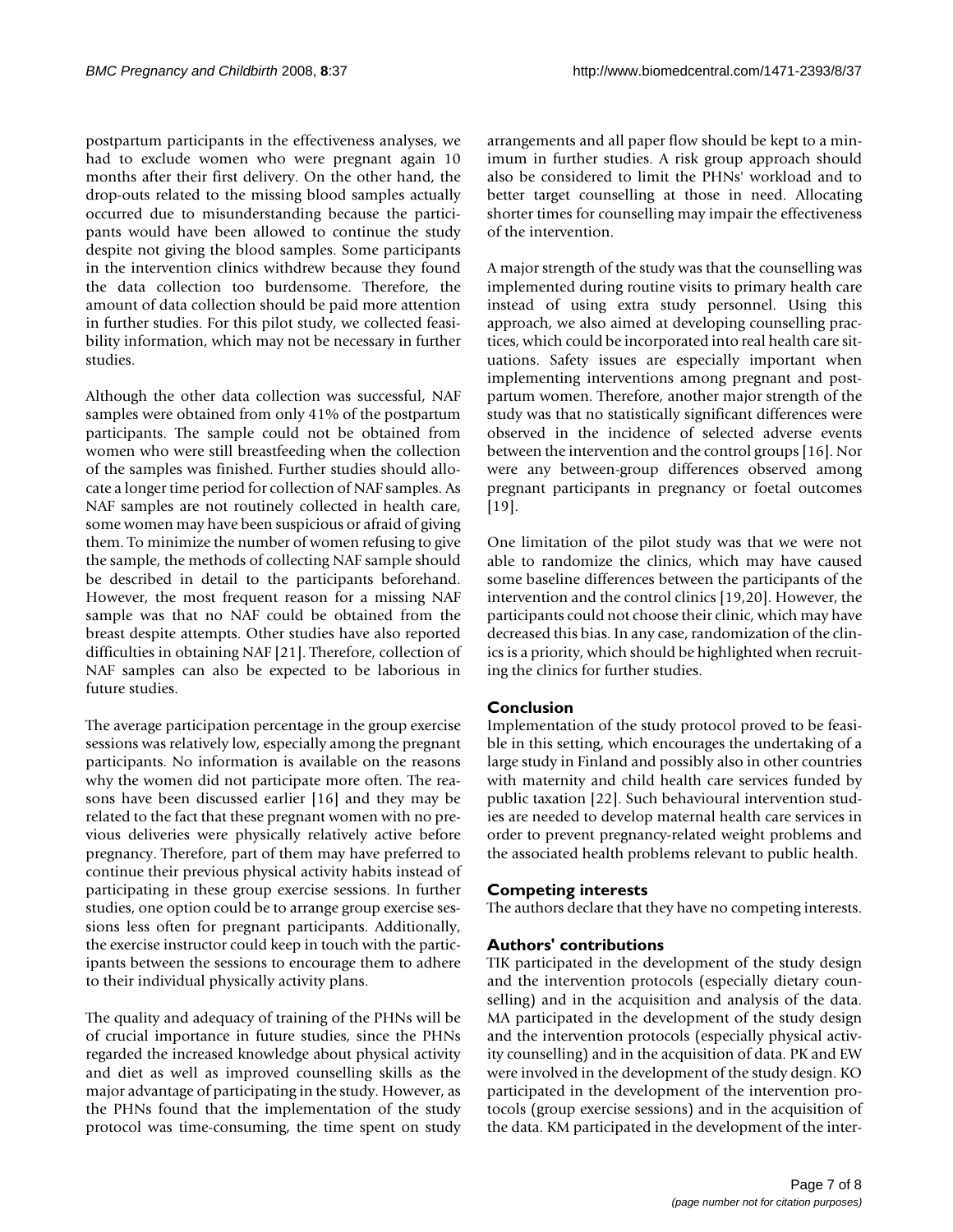postpartum participants in the effectiveness analyses, we had to exclude women who were pregnant again 10 months after their first delivery. On the other hand, the drop-outs related to the missing blood samples actually occurred due to misunderstanding because the participants would have been allowed to continue the study despite not giving the blood samples. Some participants in the intervention clinics withdrew because they found the data collection too burdensome. Therefore, the amount of data collection should be paid more attention in further studies. For this pilot study, we collected feasibility information, which may not be necessary in further studies.

Although the other data collection was successful, NAF samples were obtained from only 41% of the postpartum participants. The sample could not be obtained from women who were still breastfeeding when the collection of the samples was finished. Further studies should allocate a longer time period for collection of NAF samples. As NAF samples are not routinely collected in health care, some women may have been suspicious or afraid of giving them. To minimize the number of women refusing to give the sample, the methods of collecting NAF sample should be described in detail to the participants beforehand. However, the most frequent reason for a missing NAF sample was that no NAF could be obtained from the breast despite attempts. Other studies have also reported difficulties in obtaining NAF [21]. Therefore, collection of NAF samples can also be expected to be laborious in future studies.

The average participation percentage in the group exercise sessions was relatively low, especially among the pregnant participants. No information is available on the reasons why the women did not participate more often. The reasons have been discussed earlier [16] and they may be related to the fact that these pregnant women with no previous deliveries were physically relatively active before pregnancy. Therefore, part of them may have preferred to continue their previous physical activity habits instead of participating in these group exercise sessions. In further studies, one option could be to arrange group exercise sessions less often for pregnant participants. Additionally, the exercise instructor could keep in touch with the participants between the sessions to encourage them to adhere to their individual physically activity plans.

The quality and adequacy of training of the PHNs will be of crucial importance in future studies, since the PHNs regarded the increased knowledge about physical activity and diet as well as improved counselling skills as the major advantage of participating in the study. However, as the PHNs found that the implementation of the study protocol was time-consuming, the time spent on study arrangements and all paper flow should be kept to a minimum in further studies. A risk group approach should also be considered to limit the PHNs' workload and to better target counselling at those in need. Allocating shorter times for counselling may impair the effectiveness of the intervention.

A major strength of the study was that the counselling was implemented during routine visits to primary health care instead of using extra study personnel. Using this approach, we also aimed at developing counselling practices, which could be incorporated into real health care situations. Safety issues are especially important when implementing interventions among pregnant and postpartum women. Therefore, another major strength of the study was that no statistically significant differences were observed in the incidence of selected adverse events between the intervention and the control groups [16]. Nor were any between-group differences observed among pregnant participants in pregnancy or foetal outcomes [19].

One limitation of the pilot study was that we were not able to randomize the clinics, which may have caused some baseline differences between the participants of the intervention and the control clinics [19,20]. However, the participants could not choose their clinic, which may have decreased this bias. In any case, randomization of the clinics is a priority, which should be highlighted when recruiting the clinics for further studies.

# **Conclusion**

Implementation of the study protocol proved to be feasible in this setting, which encourages the undertaking of a large study in Finland and possibly also in other countries with maternity and child health care services funded by public taxation [22]. Such behavioural intervention studies are needed to develop maternal health care services in order to prevent pregnancy-related weight problems and the associated health problems relevant to public health.

# **Competing interests**

The authors declare that they have no competing interests.

# **Authors' contributions**

TIK participated in the development of the study design and the intervention protocols (especially dietary counselling) and in the acquisition and analysis of the data. MA participated in the development of the study design and the intervention protocols (especially physical activity counselling) and in the acquisition of data. PK and EW were involved in the development of the study design. KO participated in the development of the intervention protocols (group exercise sessions) and in the acquisition of the data. KM participated in the development of the inter